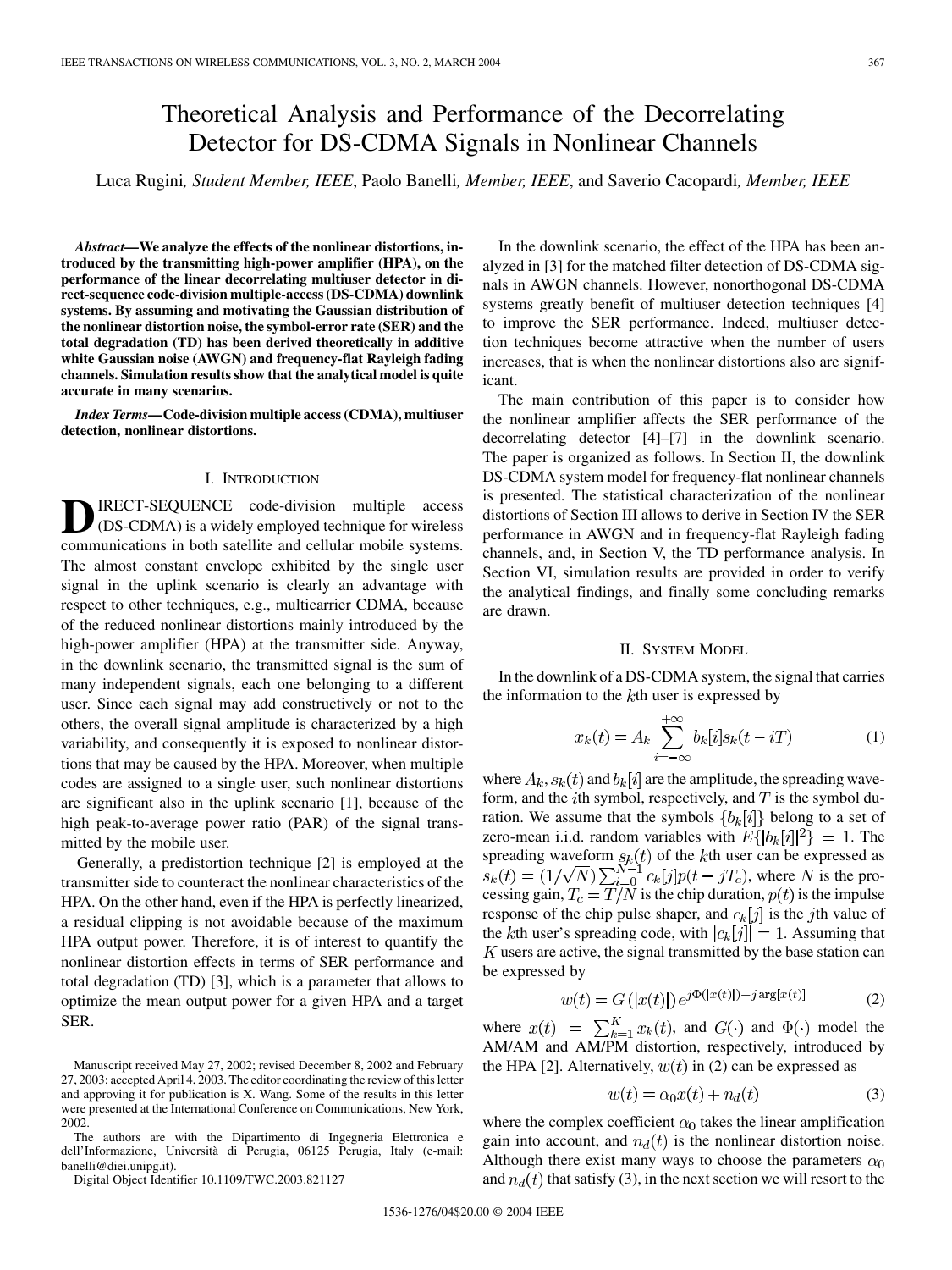# Theoretical Analysis and Performance of the Decorrelating Detector for DS-CDMA Signals in Nonlinear Channels

Luca Rugini*, Student Member, IEEE*, Paolo Banelli*, Member, IEEE*, and Saverio Cacopardi*, Member, IEEE*

*Abstract—***We analyze the effects of the nonlinear distortions, introduced by the transmitting high-power amplifier (HPA), on the performance of the linear decorrelating multiuser detector in direct-sequence code-division multiple-access (DS-CDMA) downlink systems. By assuming and motivating the Gaussian distribution of the nonlinear distortion noise, the symbol-error rate (SER) and the total degradation (TD) has been derived theoretically in additive white Gaussian noise (AWGN) and frequency-flat Rayleigh fading channels. Simulation results show that the analytical model is quite accurate in many scenarios.**

*Index Terms—***Code-division multiple access (CDMA), multiuser detection, nonlinear distortions.**

### I. INTRODUCTION

**D**IRECT-SEQUENCE code-division multiple access<br>
(DS-CDMA) is a widely employed technique for wireless communications in both satellite and cellular mobile systems. The almost constant envelope exhibited by the single user signal in the uplink scenario is clearly an advantage with respect to other techniques, e.g., multicarrier CDMA, because of the reduced nonlinear distortions mainly introduced by the high-power amplifier (HPA) at the transmitter side. Anyway, in the downlink scenario, the transmitted signal is the sum of many independent signals, each one belonging to a different user. Since each signal may add constructively or not to the others, the overall signal amplitude is characterized by a high variability, and consequently it is exposed to nonlinear distortions that may be caused by the HPA. Moreover, when multiple codes are assigned to a single user, such nonlinear distortions are significant also in the uplink scenario [\[1](#page-5-0)], because of the high peak-to-average power ratio (PAR) of the signal transmitted by the mobile user.

Generally, a predistortion technique [\[2](#page-5-0)] is employed at the transmitter side to counteract the nonlinear characteristics of the HPA. On the other hand, even if the HPA is perfectly linearized, a residual clipping is not avoidable because of the maximum HPA output power. Therefore, it is of interest to quantify the nonlinear distortion effects in terms of SER performance and total degradation (TD) [[3\]](#page-5-0), which is a parameter that allows to optimize the mean output power for a given HPA and a target SER.

The authors are with the Dipartimento di Ingegneria Elettronica e dell'Informazione, Università di Perugia, 06125 Perugia, Italy (e-mail: banelli@diei.unipg.it).

Digital Object Identifier 10.1109/TWC.2003.821127

In the downlink scenario, the effect of the HPA has been analyzed in [[3\]](#page-5-0) for the matched filter detection of DS-CDMA signals in AWGN channels. However, nonorthogonal DS-CDMA systems greatly benefit of multiuser detection techniques [[4\]](#page-5-0) to improve the SER performance. Indeed, multiuser detection techniques become attractive when the number of users increases, that is when the nonlinear distortions also are significant.

The main contribution of this paper is to consider how the nonlinear amplifier affects the SER performance of the decorrelating detector [\[4](#page-5-0)]–[[7\]](#page-5-0) in the downlink scenario. The paper is organized as follows. In Section II, the downlink DS-CDMA system model for frequency-flat nonlinear channels is presented. The statistical characterization of the nonlinear distortions of Section III allows to derive in Section IV the SER performance in AWGN and in frequency-flat Rayleigh fading channels, and, in Section V, the TD performance analysis. In Section VI, simulation results are provided in order to verify the analytical findings, and finally some concluding remarks are drawn.

#### II. SYSTEM MODEL

In the downlink of a DS-CDMA system, the signal that carries the information to the  $k$ th user is expressed by

$$
x_k(t) = A_k \sum_{i=-\infty}^{+\infty} b_k[i] s_k(t - iT)
$$
 (1)

where  $A_k$ ,  $s_k(t)$  and  $b_k[i]$  are the amplitude, the spreading waveform, and the *i*th symbol, respectively, and  $T$  is the symbol duration. We assume that the symbols  ${b_k[i]}$  belong to a set of zero-mean i.i.d. random variables with  $E\{|b_k[i]|^2\} = 1$ . The spreading waveform  $s_k(t)$  of the kth user can be expressed as , where  $N$  is the processing gain,  $T_c = T/N$  is the chip duration,  $p(t)$  is the impulse response of the chip pulse shaper, and  $c_k[j]$  is the jth value of the kth user's spreading code, with  $|c_k[j]| = 1$ . Assuming that  $K$  users are active, the signal transmitted by the base station can be expressed by

$$
w(t) = G(|x(t)|) e^{j\Phi(|x(t)|) + j \arg[x(t)]}
$$
 (2)

where  $x(t) = \sum_{k=1}^{K} x_k(t)$ , and  $G(\cdot)$  and  $\Phi(\cdot)$  model the AM/AM and AM/PM distortion, respectively, introduced by the HPA [[2\]](#page-5-0). Alternatively,  $w(t)$  in (2) can be expressed as

$$
w(t) = \alpha_0 x(t) + n_d(t) \tag{3}
$$

where the complex coefficient  $\alpha_0$  takes the linear amplification gain into account, and  $n_d(t)$  is the nonlinear distortion noise. Although there exist many ways to choose the parameters  $\alpha_0$ and  $n_d(t)$  that satisfy (3), in the next section we will resort to the

Manuscript received May 27, 2002; revised December 8, 2002 and February 27, 2003; accepted April 4, 2003. The editor coordinating the review of this letter and approving it for publication is X. Wang. Some of the results in this letter were presented at the International Conference on Communications, New York, 2002.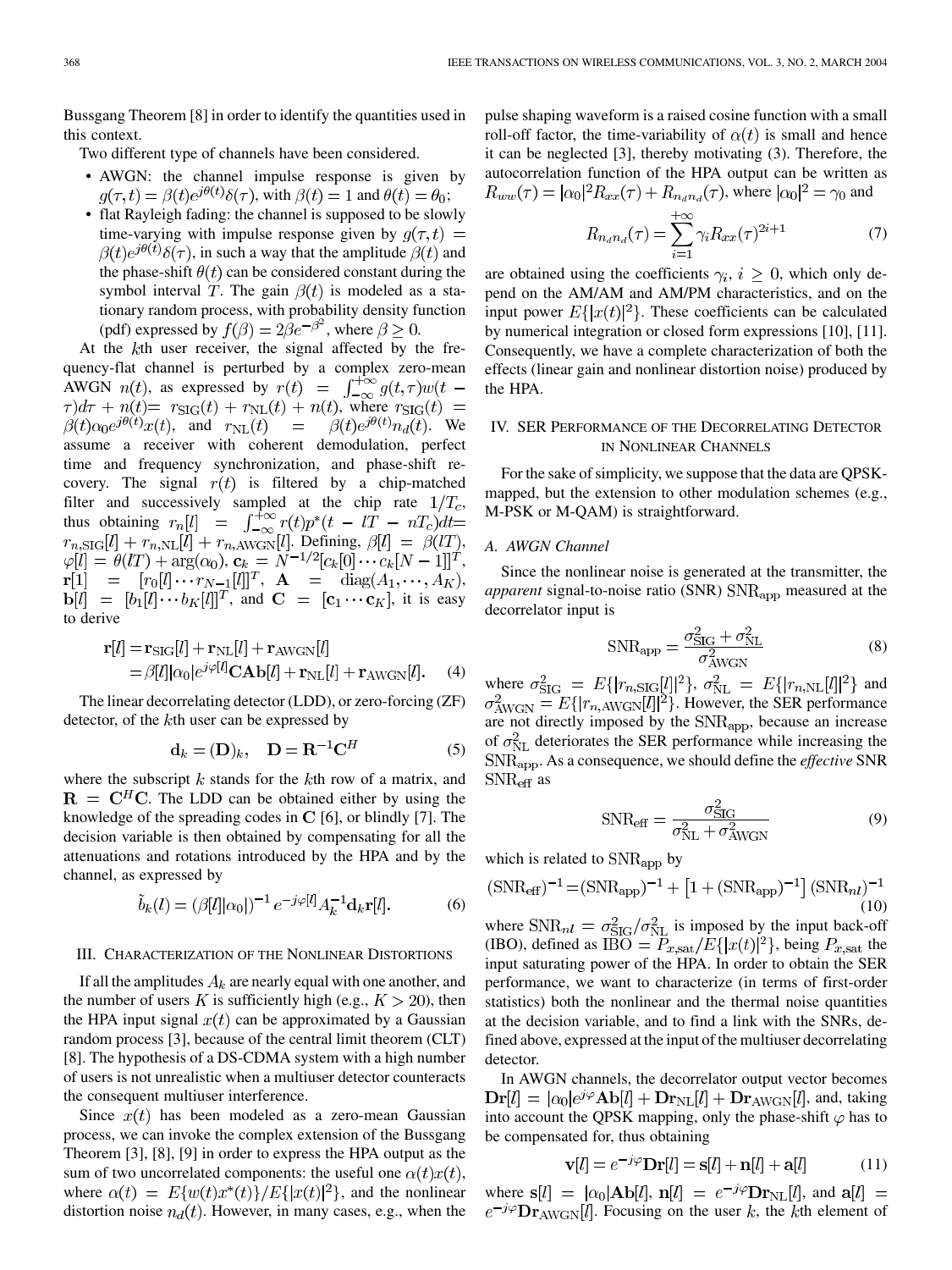Bussgang Theorem [[8\]](#page-5-0) in order to identify the quantities used in this context.

Two different type of channels have been considered.

- AWGN: the channel impulse response is given by  $q(\tau, t) = \beta(t)e^{j\theta(t)}\delta(\tau)$ , with  $\beta(t) = 1$  and  $\theta(t) = \theta_0$ ;
- flat Rayleigh fading: the channel is supposed to be slowly time-varying with impulse response given by  $q(\tau, t)$  =  $\beta(t)e^{j\theta(t)}\delta(\tau)$ , in such a way that the amplitude  $\beta(t)$  and the phase-shift  $\theta(t)$  can be considered constant during the symbol interval T. The gain  $\beta(t)$  is modeled as a stationary random process, with probability density function (pdf) expressed by  $f(\beta) = 2\beta e^{-\beta^2}$ , where  $\beta \ge 0$ .

At the  $k$ th user receiver, the signal affected by the frequency-flat channel is perturbed by a complex zero-mean AWGN  $n(t)$ , as expressed by  $r(t) = \int_{-\infty}^{+\infty} g(t,\tau) w(t-\tau)$  $\tau$ ) $d\tau$  +  $n(t)$  =  $r_{\text{SIG}}(t)$  +  $r_{\text{NL}}(t)$  +  $n(t)$ , where  $r_{\text{SIG}}(t)$  =  $\beta(t)\alpha_0e^{j\theta(t)}x(t)$ , and  $r_{\text{NL}}(t)$  =  $\beta(t)e^{j\theta(t)}n_d(t)$ . We assume a receiver with coherent demodulation, perfect time and frequency synchronization, and phase-shift recovery. The signal  $r(t)$  is filtered by a chip-matched filter and successively sampled at the chip rate  $1/T_c$ , thus obtaining . Defining,  $\beta[l] = \beta(IT)$ , ,  $\mathbf{c}_k = N^{-1/2} [c_k[0] \cdots c_k[N-1]]^T$ ,  $A = diag(A_1, \cdots, A_K),$ , and  $C = [c_1 \cdots c_K]$ , it is easy to derive

$$
\mathbf{r}[l] = \mathbf{r}_{\text{SIG}}[l] + \mathbf{r}_{\text{NL}}[l] + \mathbf{r}_{\text{AWGN}}[l]
$$
  
=  $\beta[l]|\alpha_0|e^{j\varphi[l]} \mathbf{CAb}[l] + \mathbf{r}_{\text{NL}}[l] + \mathbf{r}_{\text{AWGN}}[l].$  (4)

The linear decorrelating detector (LDD), or zero-forcing (ZF) detector, of the  $k$ th user can be expressed by

$$
\mathbf{d}_k = (\mathbf{D})_k, \quad \mathbf{D} = \mathbf{R}^{-1} \mathbf{C}^H \tag{5}
$$

where the subscript  $k$  stands for the  $k$ th row of a matrix, and  $\mathbf{R} = \mathbf{C}^H \mathbf{C}$ . The LDD can be obtained either by using the knowledge of the spreading codes in  $C$  [\[6](#page-5-0)], or blindly [[7\]](#page-5-0). The decision variable is then obtained by compensating for all the attenuations and rotations introduced by the HPA and by the channel, as expressed by

$$
\tilde{b}_k(l) = (\beta[l]|\alpha_0|)^{-1} e^{-j\varphi[l]} A_k^{-1} \mathbf{d}_k \mathbf{r}[l]. \tag{6}
$$

#### III. CHARACTERIZATION OF THE NONLINEAR DISTORTIONS

If all the amplitudes  $A_k$  are nearly equal with one another, and the number of users K is sufficiently high (e.g.,  $K > 20$ ), then the HPA input signal  $x(t)$  can be approximated by a Gaussian random process [\[3\]](#page-5-0), because of the central limit theorem (CLT) [[8\]](#page-5-0). The hypothesis of a DS-CDMA system with a high number of users is not unrealistic when a multiuser detector counteracts the consequent multiuser interference.

Since  $x(t)$  has been modeled as a zero-mean Gaussian process, we can invoke the complex extension of the Bussgang Theorem [[3\]](#page-5-0), [\[8](#page-5-0)], [\[9](#page-5-0)] in order to express the HPA output as the sum of two uncorrelated components: the useful one  $\alpha(t)x(t)$ , where  $\alpha(t) = E\{w(t)x^*(t)\}/E\{|x(t)|^2\}$ , and the nonlinear distortion noise  $n_d(t)$ . However, in many cases, e.g., when the pulse shaping waveform is a raised cosine function with a small roll-off factor, the time-variability of  $\alpha(t)$  is small and hence it can be neglected [[3\]](#page-5-0), thereby motivating (3). Therefore, the autocorrelation function of the HPA output can be written as  $R_{ww}(\tau) = |\alpha_0|^2 R_{xx}(\tau) + R_{n_d n_d}(\tau)$ , where  $|\alpha_0|^2 = \gamma_0$  and

$$
R_{n_d n_d}(\tau) = \sum_{i=1}^{+\infty} \gamma_i R_{xx}(\tau)^{2i+1}
$$
 (7)

are obtained using the coefficients  $\gamma_i, i \geq 0$ , which only depend on the AM/AM and AM/PM characteristics, and on the input power  $E\{|x(t)|^2\}$ . These coefficients can be calculated by numerical integration or closed form expressions [\[10](#page-5-0)], [[11\]](#page-5-0). Consequently, we have a complete characterization of both the effects (linear gain and nonlinear distortion noise) produced by the HPA.

## IV. SER PERFORMANCE OF THE DECORRELATING DETECTOR IN NONLINEAR CHANNELS

For the sake of simplicity, we suppose that the data are QPSKmapped, but the extension to other modulation schemes (e.g., M-PSK or M-QAM) is straightforward.

## *A. AWGN Channel*

Since the nonlinear noise is generated at the transmitter, the *apparent* signal-to-noise ratio (SNR) SNR<sub>app</sub> measured at the decorrelator input is

$$
SNR_{app} = \frac{\sigma_{SIG}^2 + \sigma_{NL}^2}{\sigma_{AWGN}^2}
$$
 (8)

where  $\sigma_{\text{SIG}}^2 = E\{ |r_{n, \text{SIG}}[l]|^2 \}, \sigma_{\text{NL}}^2 = E\{ |r_{n, \text{NL}}[l]|^2 \}$  and . However, the SER performance are not directly imposed by the SNR<sub>app</sub>, because an increase of  $\sigma_{\rm NL}^2$  deteriorates the SER performance while increasing the . As a consequence, we should define the *effective* SNR  $SNR_{\text{eff}}$  as

$$
SNR_{\text{eff}} = \frac{\sigma_{\text{SIG}}^2}{\sigma_{\text{NL}}^2 + \sigma_{\text{AWGN}}^2}
$$
(9)

which is related to  $\text{SNR}_{\text{app}}$  by

$$
(SNR_{\text{eff}})^{-1} = (SNR_{\text{app}})^{-1} + [1 + (SNR_{\text{app}})^{-1}] (SNR_{nl})^{-1}
$$
  
(10)

where  $\text{SNR}_{nl} = \sigma_{\text{SIG}}^2 / \sigma_{\text{NL}}^2$  is imposed by the input back-off (IBO), defined as  $\overline{IBO} = P_{x, sat}/E\{|x(t)|^2\}$ , being  $P_{x, sat}$  the input saturating power of the HPA. In order to obtain the SER performance, we want to characterize (in terms of first-order statistics) both the nonlinear and the thermal noise quantities at the decision variable, and to find a link with the SNRs, defined above, expressed at the input of the multiuser decorrelating detector.

In AWGN channels, the decorrelator output vector becomes  $\mathbf{Dr}[l] = |\alpha_0|e^{j\varphi} \mathbf{Ab}[l] + \mathbf{Dr}_{\text{NL}}[l] + \mathbf{Dr}_{\text{AWGN}}[l]$ , and, taking into account the QPSK mapping, only the phase-shift  $\varphi$  has to be compensated for, thus obtaining

$$
\mathbf{v}[l] = e^{-j\varphi} \mathbf{Dr}[l] = \mathbf{s}[l] + \mathbf{n}[l] + \mathbf{a}[l] \tag{11}
$$

where  $s[l] = |\alpha_0|Ab[l], n[l] = e^{-j\varphi}Dr_{NL}[l],$  and  $a[l] =$  $e^{-j\varphi} \mathbf{Dr}_{AWGN}[l]$ . Focusing on the user k, the kth element of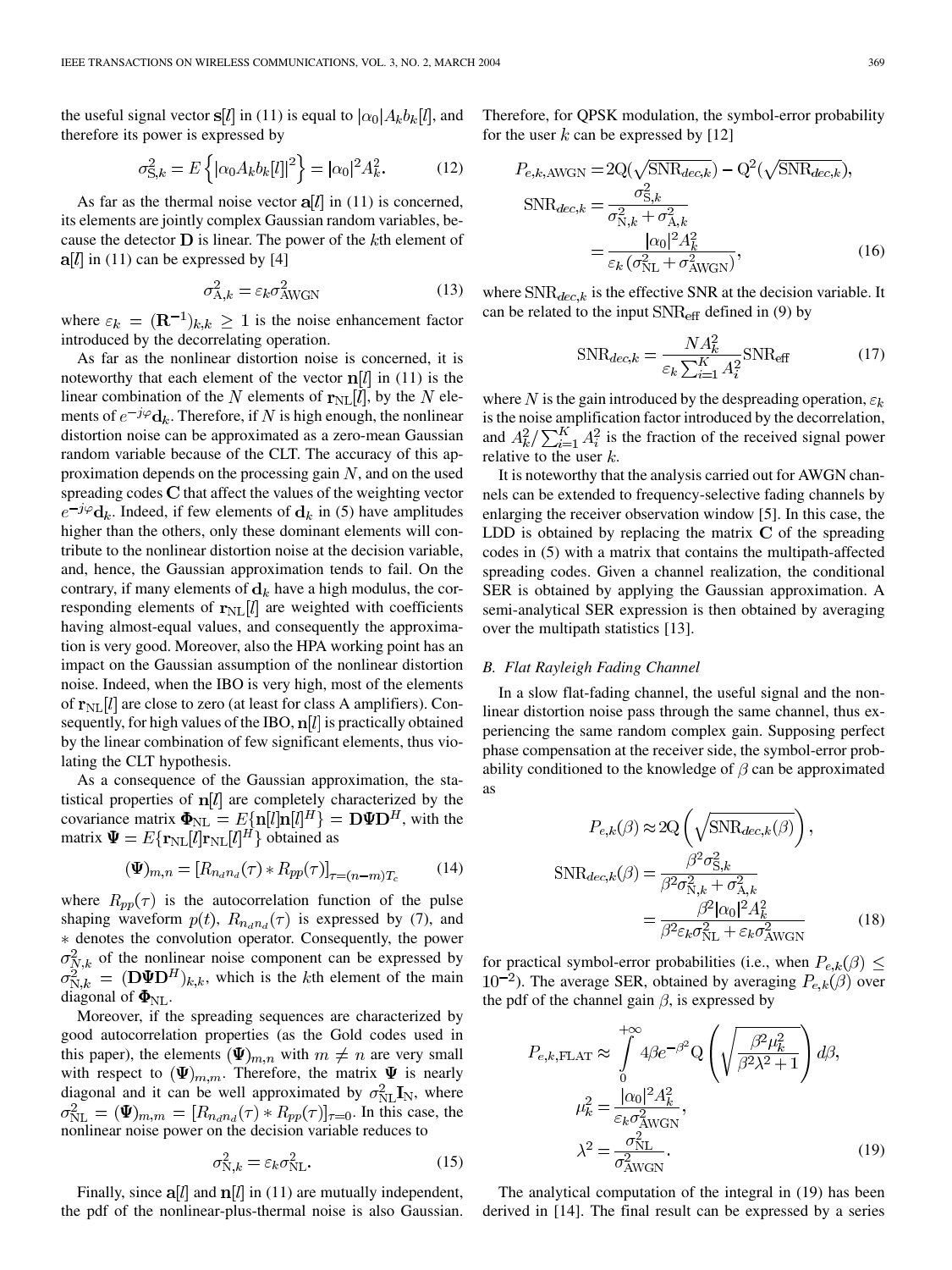the useful signal vector s[l] in (11) is equal to  $|\alpha_0|A_kb_k[l]$ , and therefore its power is expressed by

$$
\sigma_{\mathbf{S},k}^2 = E\left\{ |\alpha_0 A_k b_k[l]|^2 \right\} = |\alpha_0|^2 A_k^2. \tag{12}
$$

As far as the thermal noise vector  $a[l]$  in (11) is concerned, its elements are jointly complex Gaussian random variables, because the detector  $\bf{D}$  is linear. The power of the kth element of  $a[l]$  in (11) can be expressed by [[4\]](#page-5-0)

$$
\sigma_{A,k}^2 = \varepsilon_k \sigma_{AWGN}^2 \tag{13}
$$

where  $\varepsilon_k = (\mathbf{R}^{-1})_{k,k} \geq 1$  is the noise enhancement factor introduced by the decorrelating operation.

As far as the nonlinear distortion noise is concerned, it is noteworthy that each element of the vector  $\mathbf{n}[l]$  in (11) is the linear combination of the N elements of  $r_{\text{NL}}[l]$ , by the N elements of  $e^{-j\varphi}$ **d**<sub>k</sub>. Therefore, if N is high enough, the nonlinear distortion noise can be approximated as a zero-mean Gaussian random variable because of the CLT. The accuracy of this approximation depends on the processing gain  $N$ , and on the used spreading codes  $C$  that affect the values of the weighting vector  $e^{-j\varphi}$ **d**<sub>k</sub>. Indeed, if few elements of **d**<sub>k</sub> in (5) have amplitudes higher than the others, only these dominant elements will contribute to the nonlinear distortion noise at the decision variable, and, hence, the Gaussian approximation tends to fail. On the contrary, if many elements of  $\mathbf{d}_k$  have a high modulus, the corresponding elements of  $r_{\text{NL}}[l]$  are weighted with coefficients having almost-equal values, and consequently the approximation is very good. Moreover, also the HPA working point has an impact on the Gaussian assumption of the nonlinear distortion noise. Indeed, when the IBO is very high, most of the elements of  $\mathbf{r}_{\text{NL}}[l]$  are close to zero (at least for class A amplifiers). Consequently, for high values of the IBO,  $n[l]$  is practically obtained by the linear combination of few significant elements, thus violating the CLT hypothesis.

As a consequence of the Gaussian approximation, the statistical properties of  $n[l]$  are completely characterized by the covariance matrix  $\mathbf{\Phi}_{\text{NL}} = E\{\mathbf{n}[l]\mathbf{n}[l]^H\} = \mathbf{D}\mathbf{\Psi}\mathbf{D}^H$ , with the matrix  $\Psi = E\{ \mathbf{r}_{\text{NL}}[l] \mathbf{r}_{\text{NL}}[l]^H \}$  obtained as

$$
(\Psi)_{m,n} = [R_{n_d n_d}(\tau) * R_{pp}(\tau)]_{\tau = (n-m)T_c}
$$
(14)

where  $R_{pp}(\tau)$  is the autocorrelation function of the pulse shaping waveform  $p(t)$ ,  $R_{n_d n_d}(\tau)$  is expressed by (7), and denotes the convolution operator. Consequently, the power  $\sigma_{N,k}^2$  of the nonlinear noise component can be expressed by  $\sigma_{N,k}^2 = (\mathbf{D} \mathbf{\Psi} \mathbf{D}^H)_{k,k}$ , which is the kth element of the main diagonal of  $\Phi_{\text{NL}}$ .

Moreover, if the spreading sequences are characterized by good autocorrelation properties (as the Gold codes used in this paper), the elements  $(\Psi)_{m,n}$  with  $m \neq n$  are very small with respect to  $(\Psi)_{m,m}$ . Therefore, the matrix  $\Psi$  is nearly diagonal and it can be well approximated by  $\sigma_{NL}^2 \mathbf{I}_N$ , where  $\sigma_{\text{NL}}^2 = (\Psi)_{m,m} = [R_{n_d n_d}(\tau) + R_{pp}(\tau)]_{\tau=0}$ . In this case, the nonlinear noise power on the decision variable reduces to

$$
\sigma_{\text{N},k}^2 = \varepsilon_k \sigma_{\text{NL}}^2. \tag{15}
$$

Finally, since  $a[l]$  and  $n[l]$  in (11) are mutually independent, the pdf of the nonlinear-plus-thermal noise is also Gaussian.

Therefore, for QPSK modulation, the symbol-error probability for the user k can be expressed by [[12\]](#page-5-0)

$$
P_{e,k,\text{AWGN}} = 2\mathcal{Q}(\sqrt{\text{SNR}_{dec,k}}) - \mathcal{Q}^2(\sqrt{\text{SNR}_{dec,k}}),
$$
  
\n
$$
\text{SNR}_{dec,k} = \frac{\sigma_{\text{S},k}^2}{\sigma_{\text{N},k}^2 + \sigma_{\text{A},k}^2}
$$
  
\n
$$
= \frac{|\alpha_0|^2 A_k^2}{\varepsilon_k (\sigma_{\text{NL}}^2 + \sigma_{\text{AWGN}}^2)},
$$
 (16)

where  $SNR_{dec,k}$  is the effective SNR at the decision variable. It can be related to the input  $SNR_{\text{eff}}$  defined in (9) by

$$
\text{SNR}_{dec,k} = \frac{NA_k^2}{\varepsilon_k \sum_{i=1}^K A_i^2} \text{SNR}_{\text{eff}} \tag{17}
$$

where N is the gain introduced by the despreading operation,  $\varepsilon_k$ is the noise amplification factor introduced by the decorrelation, and  $A_k^2 / \sum_{i=1}^{K} A_i^2$  is the fraction of the received signal power relative to the user  $k$ .

It is noteworthy that the analysis carried out for AWGN channels can be extended to frequency-selective fading channels by enlarging the receiver observation window [[5\]](#page-5-0). In this case, the LDD is obtained by replacing the matrix  $C$  of the spreading codes in (5) with a matrix that contains the multipath-affected spreading codes. Given a channel realization, the conditional SER is obtained by applying the Gaussian approximation. A semi-analytical SER expression is then obtained by averaging over the multipath statistics [[13\]](#page-5-0).

#### *B. Flat Rayleigh Fading Channel*

In a slow flat-fading channel, the useful signal and the nonlinear distortion noise pass through the same channel, thus experiencing the same random complex gain. Supposing perfect phase compensation at the receiver side, the symbol-error probability conditioned to the knowledge of  $\beta$  can be approximated as

$$
P_{e,k}(\beta) \approx 2\mathcal{Q}\left(\sqrt{\mathcal{S}NR_{dec,k}(\beta)}\right),
$$

$$
\text{SNR}_{dec,k}(\beta) = \frac{\beta^2 \sigma_{\mathcal{S},k}^2}{\beta^2 \sigma_{\mathcal{N},k}^2 + \sigma_{\mathcal{A},k}^2}
$$

$$
= \frac{\beta^2 |\alpha_0|^2 A_k^2}{\beta^2 \varepsilon_k \sigma_{\mathcal{N}L}^2 + \varepsilon_k \sigma_{\mathcal{A}WGN}^2}
$$
(18)

for practical symbol-error probabilities (i.e., when  $P_{e,k}(\beta) \leq$  $(10^{-2})$ . The average SER, obtained by averaging  $P_{e,k}(\beta)$  over the pdf of the channel gain  $\beta$ , is expressed by

$$
P_{e,k,\text{FLAT}} \approx \int_{0}^{+\infty} 4\beta e^{-\beta^2} \mathcal{Q} \left( \sqrt{\frac{\beta^2 \mu_k^2}{\beta^2 \lambda^2 + 1}} \right) d\beta,
$$

$$
\mu_k^2 = \frac{|\alpha_0|^2 A_k^2}{\varepsilon_k \sigma_{\text{AWGN}}^2},
$$

$$
\lambda^2 = \frac{\sigma_{\text{NL}}^2}{\sigma_{\text{AWGN}}^2}.
$$
(19)

The analytical computation of the integral in (19) has been derived in [[14\]](#page-5-0). The final result can be expressed by a series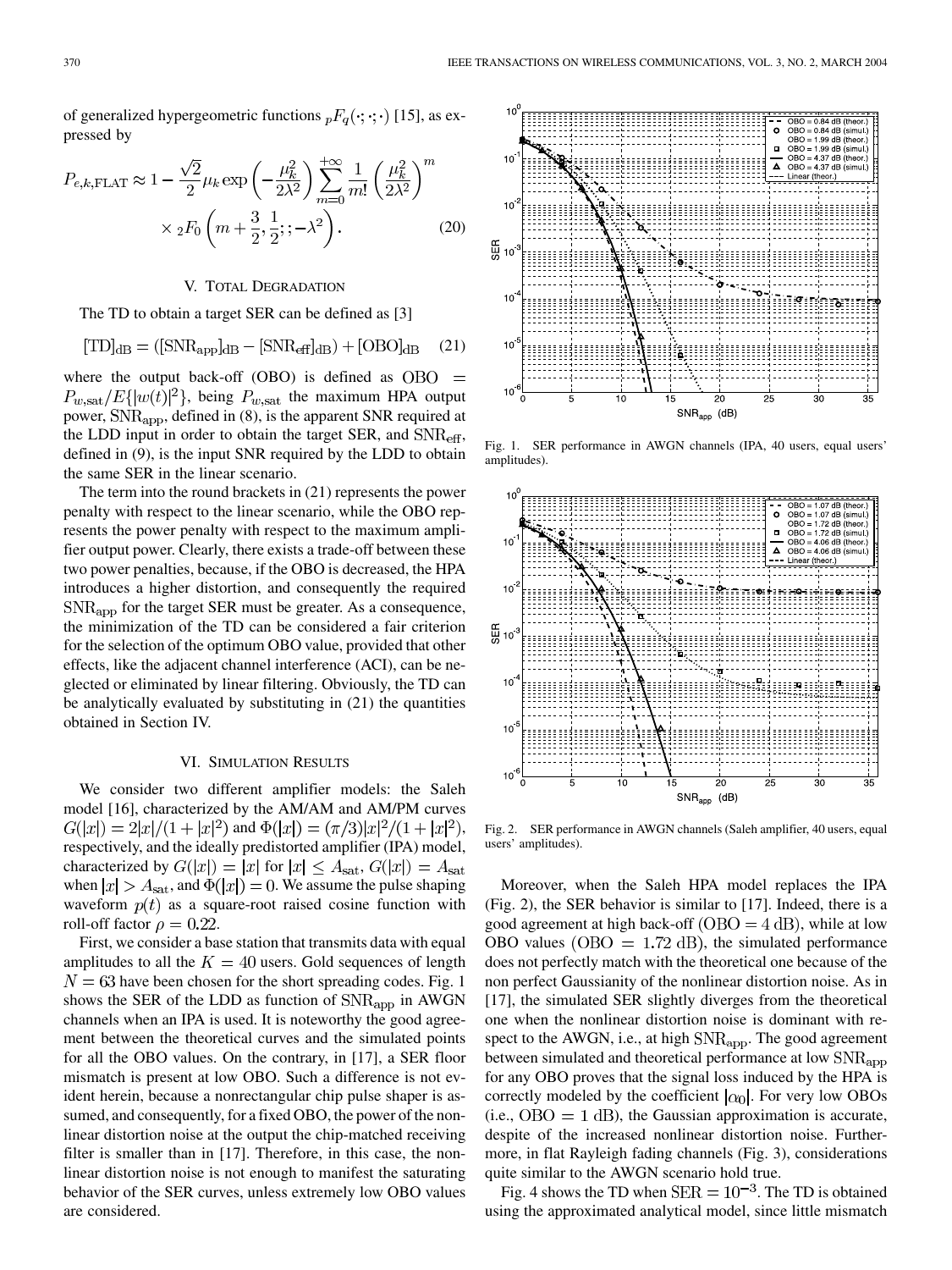of generalized hypergeometric functions  ${}_{p}F_{q}(\cdot;\cdot;\cdot)$  [\[15](#page-5-0)], as expressed by

$$
P_{e,k,\text{FLAT}} \approx 1 - \frac{\sqrt{2}}{2} \mu_k \exp\left(-\frac{\mu_k^2}{2\lambda^2}\right) \sum_{m=0}^{+\infty} \frac{1}{m!} \left(\frac{\mu_k^2}{2\lambda^2}\right)^m
$$

$$
\times {}_2F_0\left(m + \frac{3}{2}, \frac{1}{2}; ; -\lambda^2\right). \tag{20}
$$

#### V. TOTAL DEGRADATION

The TD to obtain a target SER can be defined as [\[3\]](#page-5-0)

$$
[\text{TD}]_{\text{dB}} = ([\text{SNR}_{\text{app}}]_{\text{dB}} - [\text{SNR}_{\text{eff}}]_{\text{dB}}) + [\text{OBO}]_{\text{dB}} \quad (21)
$$

where the output back-off (OBO) is defined as  $OBO =$  $P_{w, \text{sat}}/E\{|w(t)|^2\}$ , being  $P_{w, \text{sat}}$  the maximum HPA output power,  $\text{SNR}_{\text{app}}$ , defined in (8), is the apparent SNR required at the LDD input in order to obtain the target SER, and  $SNR_{\text{eff}}$ , defined in (9), is the input SNR required by the LDD to obtain the same SER in the linear scenario.

The term into the round brackets in (21) represents the power penalty with respect to the linear scenario, while the OBO represents the power penalty with respect to the maximum amplifier output power. Clearly, there exists a trade-off between these two power penalties, because, if the OBO is decreased, the HPA introduces a higher distortion, and consequently the required  $SNR_{\rm app}$  for the target SER must be greater. As a consequence, the minimization of the TD can be considered a fair criterion for the selection of the optimum OBO value, provided that other effects, like the adjacent channel interference (ACI), can be neglected or eliminated by linear filtering. Obviously, the TD can be analytically evaluated by substituting in (21) the quantities obtained in Section IV.

### VI. SIMULATION RESULTS

We consider two different amplifier models: the Saleh model [[16\]](#page-5-0), characterized by the AM/AM and AM/PM curves  $G(|x|) = 2|x|/(1+|x|^2)$  and  $\Phi(|x|) = (\pi/3)|x|^2/(1+|x|^2)$ , respectively, and the ideally predistorted amplifier (IPA) model, characterized by  $G(|x|) = |x|$  for  $|x| \leq A_{\text{sat}}$ ,  $G(|x|) = A_{\text{sat}}$ when  $|x| > A_{\text{sat}}$ , and  $\Phi(|x|) = 0$ . We assume the pulse shaping waveform  $p(t)$  as a square-root raised cosine function with roll-off factor  $\rho = 0.22$ .

First, we consider a base station that transmits data with equal amplitudes to all the  $K = 40$  users. Gold sequences of length  $N = 63$  have been chosen for the short spreading codes. Fig. 1 shows the SER of the LDD as function of  $\text{SNR}_{\text{app}}$  in AWGN channels when an IPA is used. It is noteworthy the good agreement between the theoretical curves and the simulated points for all the OBO values. On the contrary, in [[17\]](#page-5-0), a SER floor mismatch is present at low OBO. Such a difference is not evident herein, because a nonrectangular chip pulse shaper is assumed, and consequently, for a fixed OBO, the power of the nonlinear distortion noise at the output the chip-matched receiving filter is smaller than in [\[17](#page-5-0)]. Therefore, in this case, the nonlinear distortion noise is not enough to manifest the saturating behavior of the SER curves, unless extremely low OBO values are considered.



Fig. 1. SER performance in AWGN channels (IPA, 40 users, equal users' amplitudes).



Fig. 2. SER performance in AWGN channels (Saleh amplifier, 40 users, equal users' amplitudes).

Moreover, when the Saleh HPA model replaces the IPA (Fig. 2), the SER behavior is similar to [[17\]](#page-5-0). Indeed, there is a good agreement at high back-off  $(OBO = 4 dB)$ , while at low OBO values ( $\text{OBO} = 1.72 \text{ dB}$ ), the simulated performance does not perfectly match with the theoretical one because of the non perfect Gaussianity of the nonlinear distortion noise. As in [[17\]](#page-5-0), the simulated SER slightly diverges from the theoretical one when the nonlinear distortion noise is dominant with respect to the AWGN, i.e., at high  $SNR_{app}$ . The good agreement between simulated and theoretical performance at low SNR<sub>app</sub> for any OBO proves that the signal loss induced by the HPA is correctly modeled by the coefficient  $|\alpha_0|$ . For very low OBOs  $(i.e., OBO = 1 dB)$ , the Gaussian approximation is accurate, despite of the increased nonlinear distortion noise. Furthermore, in flat Rayleigh fading channels (Fig. 3), considerations quite similar to the AWGN scenario hold true.

Fig. 4 shows the TD when  $SER = 10^{-3}$ . The TD is obtained using the approximated analytical model, since little mismatch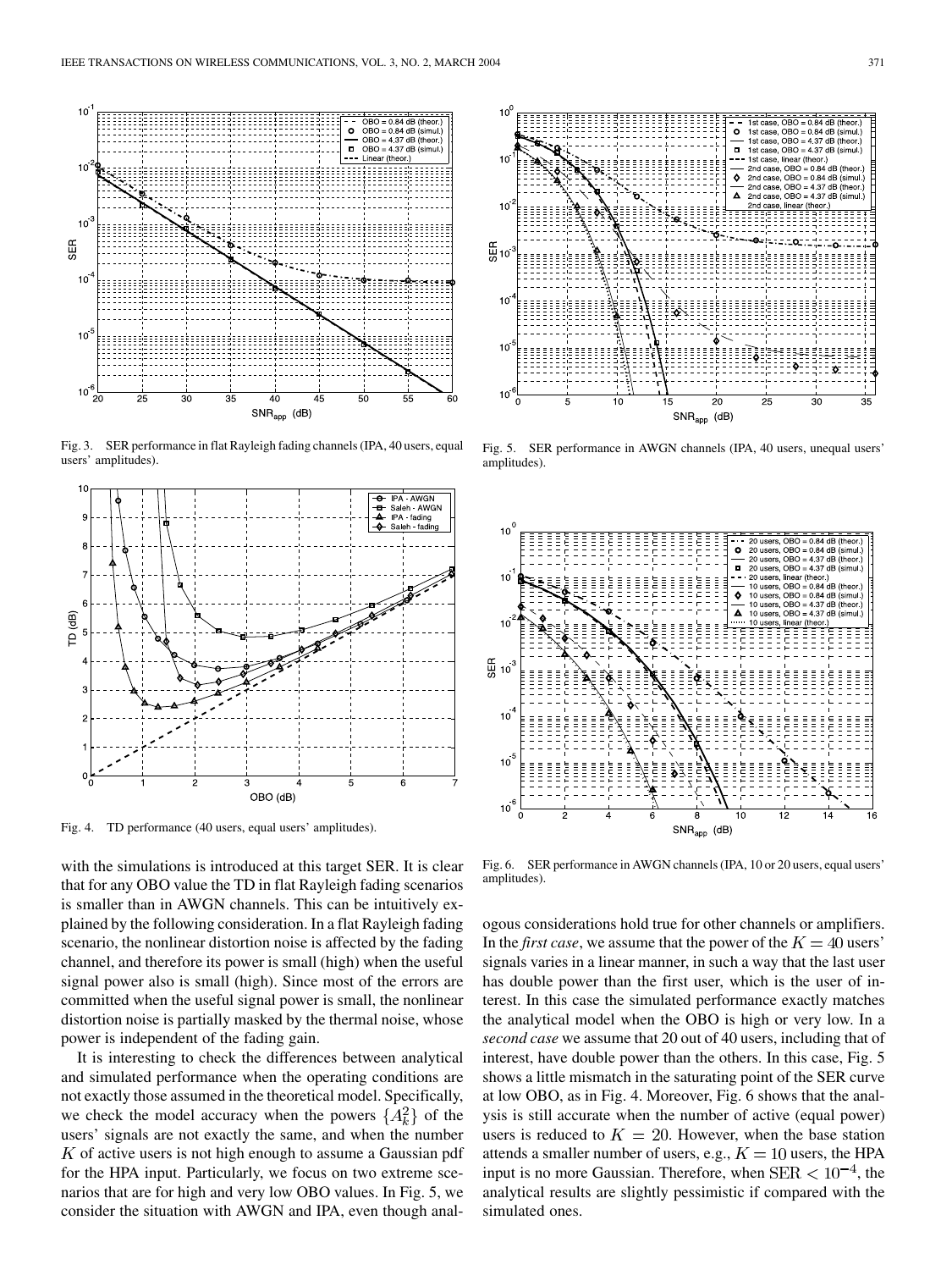

Fig. 3. SER performance in flat Rayleigh fading channels (IPA, 40 users, equal users' amplitudes).



Fig. 4. TD performance (40 users, equal users' amplitudes).

with the simulations is introduced at this target SER. It is clear that for any OBO value the TD in flat Rayleigh fading scenarios is smaller than in AWGN channels. This can be intuitively explained by the following consideration. In a flat Rayleigh fading scenario, the nonlinear distortion noise is affected by the fading channel, and therefore its power is small (high) when the useful signal power also is small (high). Since most of the errors are committed when the useful signal power is small, the nonlinear distortion noise is partially masked by the thermal noise, whose power is independent of the fading gain.

It is interesting to check the differences between analytical and simulated performance when the operating conditions are not exactly those assumed in the theoretical model. Specifically, we check the model accuracy when the powers  $\{A_k^2\}$  of the users' signals are not exactly the same, and when the number  $K$  of active users is not high enough to assume a Gaussian pdf for the HPA input. Particularly, we focus on two extreme scenarios that are for high and very low OBO values. In Fig. 5, we consider the situation with AWGN and IPA, even though anal-



Fig. 5. SER performance in AWGN channels (IPA, 40 users, unequal users' amplitudes).



Fig. 6. SER performance in AWGN channels (IPA, 10 or 20 users, equal users' amplitudes).

ogous considerations hold true for other channels or amplifiers. In the *first case*, we assume that the power of the  $K = 40$  users' signals varies in a linear manner, in such a way that the last user has double power than the first user, which is the user of interest. In this case the simulated performance exactly matches the analytical model when the OBO is high or very low. In a *second case* we assume that 20 out of 40 users, including that of interest, have double power than the others. In this case, Fig. 5 shows a little mismatch in the saturating point of the SER curve at low OBO, as in Fig. 4. Moreover, Fig. 6 shows that the analysis is still accurate when the number of active (equal power) users is reduced to  $K = 20$ . However, when the base station attends a smaller number of users, e.g.,  $K = 10$  users, the HPA input is no more Gaussian. Therefore, when  $SER < 10^{-4}$ , the analytical results are slightly pessimistic if compared with the simulated ones.